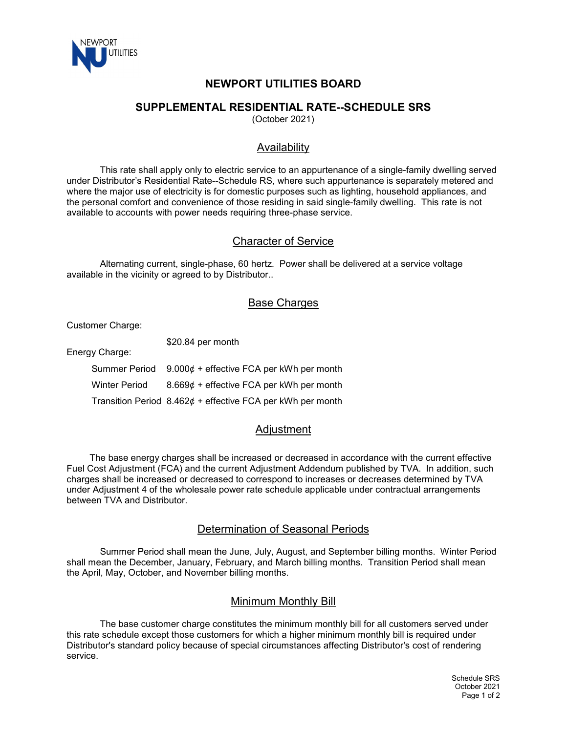

# **NEWPORT UTILITIES BOARD**

### **SUPPLEMENTAL RESIDENTIAL RATE--SCHEDULE SRS**

(October 2021)

## Availability

This rate shall apply only to electric service to an appurtenance of a single-family dwelling served under Distributor's Residential Rate--Schedule RS, where such appurtenance is separately metered and where the major use of electricity is for domestic purposes such as lighting, household appliances, and the personal comfort and convenience of those residing in said single-family dwelling. This rate is not available to accounts with power needs requiring three-phase service.

#### Character of Service

Alternating current, single-phase, 60 hertz. Power shall be delivered at a service voltage available in the vicinity or agreed to by Distributor..

### **Base Charges**

Customer Charge:

\$20.84 per month

Energy Charge:

Summer Period 9.000¢ + effective FCA per kWh per month Winter Period 8.669¢ + effective FCA per kWh per month Transition Period  $8.462¢ +$  effective FCA per kWh per month

## **Adiustment**

 The base energy charges shall be increased or decreased in accordance with the current effective Fuel Cost Adjustment (FCA) and the current Adjustment Addendum published by TVA. In addition, such charges shall be increased or decreased to correspond to increases or decreases determined by TVA under Adjustment 4 of the wholesale power rate schedule applicable under contractual arrangements between TVA and Distributor.

#### Determination of Seasonal Periods

Summer Period shall mean the June, July, August, and September billing months. Winter Period shall mean the December, January, February, and March billing months. Transition Period shall mean the April, May, October, and November billing months.

#### Minimum Monthly Bill

The base customer charge constitutes the minimum monthly bill for all customers served under this rate schedule except those customers for which a higher minimum monthly bill is required under Distributor's standard policy because of special circumstances affecting Distributor's cost of rendering service.